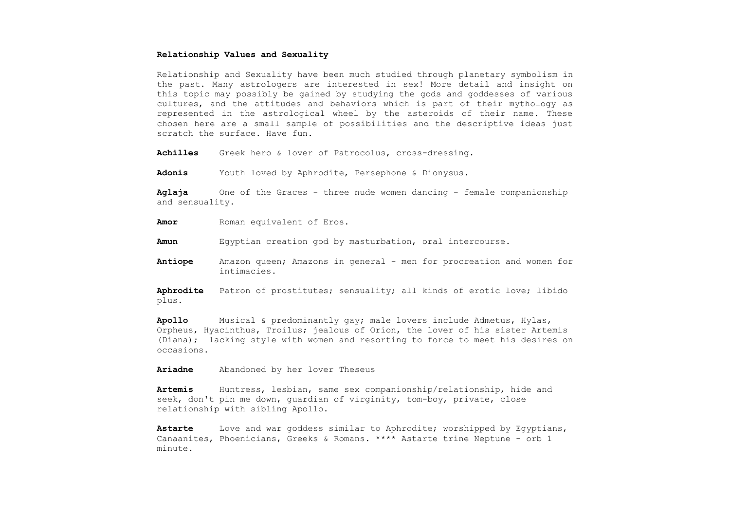## **Relationship Values and Sexuality**

Relationship and Sexuality have been much studied through planetary symbolism in the past. Many astrologers are interested in sex! More detail and insight on this topic may possibly be gained by studying the gods and goddesses of various cultures, and the attitudes and behaviors which is part of their mythology as represented in the astrological wheel by the asteroids of their name. These chosen here are a small sample of possibilities and the descriptive ideas just scratch the surface. Have fun.

**Achilles** Greek hero & lover of Patrocolus, cross-dressing.

**Adonis** Youth loved by Aphrodite, Persephone & Dionysus.

**Aglaja** One of the Graces - three nude women dancing - female companionship and sensuality.

**Amor** Roman equivalent of Eros.

**Amun** Egyptian creation god by masturbation, oral intercourse.

**Antiope** Amazon queen; Amazons in general - men for procreation and women for intimacies.

**Aphrodite** Patron of prostitutes; sensuality; all kinds of erotic love; libido plus.

**Apollo** Musical & predominantly gay; male lovers include Admetus, Hylas, Orpheus, Hyacinthus, Troilus; jealous of Orion, the lover of his sister Artemis (Diana); lacking style with women and resorting to force to meet his desires on occasions.

**Ariadne** Abandoned by her lover Theseus

**Artemis** Huntress, lesbian, same sex companionship/relationship, hide and seek, don't pin me down, guardian of virginity, tom-boy, private, close relationship with sibling Apollo.

**Astarte** Love and war goddess similar to Aphrodite; worshipped by Egyptians, Canaanites, Phoenicians, Greeks & Romans. \*\*\*\* Astarte trine Neptune - orb 1 minute.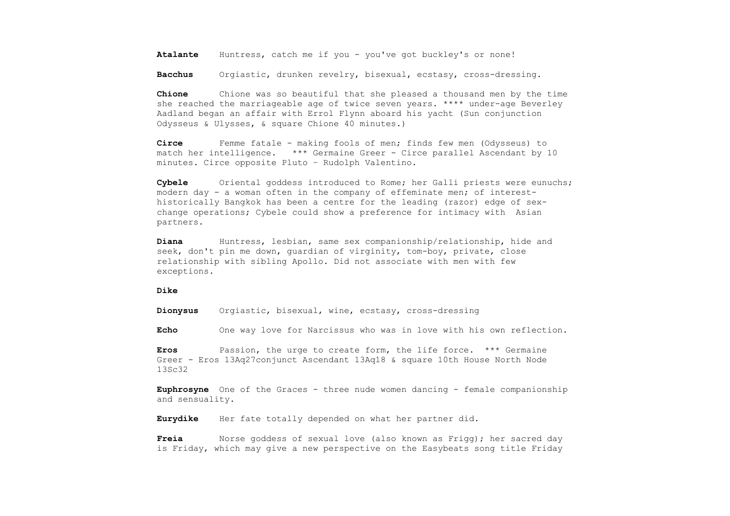**Atalante** Huntress, catch me if you - you've got buckley's or none!

**Bacchus** Orgiastic, drunken revelry, bisexual, ecstasy, cross-dressing.

**Chione** Chione was so beautiful that she pleased a thousand men by the time she reached the marriageable age of twice seven years. \*\*\*\* under-age Beverley Aadland began an affair with Errol Flynn aboard his yacht (Sun conjunction Odysseus & Ulysses, & square Chione 40 minutes.)

**Circe** Femme fatale - making fools of men; finds few men (Odysseus) to match her intelligence. \*\*\* Germaine Greer - Circe parallel Ascendant by 10 minutes. Circe opposite Pluto – Rudolph Valentino.

**Cybele** Oriental goddess introduced to Rome; her Galli priests were eunuchs; modern day - a woman often in the company of effeminate men; of interesthistorically Bangkok has been a centre for the leading (razor) edge of sexchange operations; Cybele could show a preference for intimacy with Asian partners.

**Diana** Huntress, lesbian, same sex companionship/relationship, hide and seek, don't pin me down, guardian of virginity, tom-boy, private, close relationship with sibling Apollo. Did not associate with men with few exceptions.

## **Dike**

**Dionysus** Orgiastic, bisexual, wine, ecstasy, cross-dressing

**Echo** One way love for Narcissus who was in love with his own reflection.

**Eros** Passion, the urge to create form, the life force. \*\*\* Germaine Greer - Eros 13Aq27conjunct Ascendant 13Aq18 & square 10th House North Node 13Sc32

**Euphrosyne** One of the Graces - three nude women dancing - female companionship and sensuality.

**Eurydike** Her fate totally depended on what her partner did.

**Freia** Norse goddess of sexual love (also known as Frigg); her sacred day is Friday, which may give a new perspective on the Easybeats song title Friday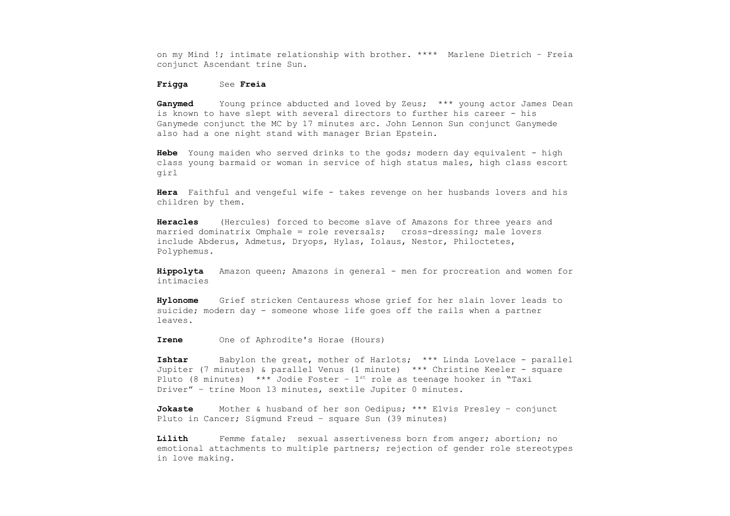on my Mind !; intimate relationship with brother. \*\*\*\* Marlene Dietrich – Freia conjunct Ascendant trine Sun.

## **Frigga** See **Freia**

**Ganymed** Young prince abducted and loved by Zeus; \*\*\* young actor James Dean is known to have slept with several directors to further his career - his Ganymede conjunct the MC by 17 minutes arc. John Lennon Sun conjunct Ganymede also had a one night stand with manager Brian Epstein.

**Hebe** Young maiden who served drinks to the gods; modern day equivalent - high class young barmaid or woman in service of high status males, high class escort girl

**Hera** Faithful and vengeful wife - takes revenge on her husbands lovers and his children by them.

**Heracles** (Hercules) forced to become slave of Amazons for three years and married dominatrix Omphale = role reversals; cross-dressing; male lovers include Abderus, Admetus, Dryops, Hylas, Iolaus, Nestor, Philoctetes, Polyphemus.

**Hippolyta** Amazon queen; Amazons in general - men for procreation and women for intimacies

**Hylonome** Grief stricken Centauress whose grief for her slain lover leads to suicide; modern day - someone whose life goes off the rails when a partner leaves.

**Irene** One of Aphrodite's Horae (Hours)

**Ishtar** Babylon the great, mother of Harlots; \*\*\* Linda Lovelace - parallel Jupiter (7 minutes) & parallel Venus (1 minute) \*\*\* Christine Keeler - square Pluto (8 minutes) \*\*\* Jodie Foster -  $1^{st}$  role as teenage hooker in "Taxi Driver" – trine Moon 13 minutes, sextile Jupiter 0 minutes.

**Jokaste** Mother & husband of her son Oedipus; \*\*\* Elvis Presley – conjunct Pluto in Cancer; Sigmund Freud – square Sun (39 minutes)

**Lilith** Femme fatale; sexual assertiveness born from anger; abortion; no emotional attachments to multiple partners; rejection of gender role stereotypes in love making.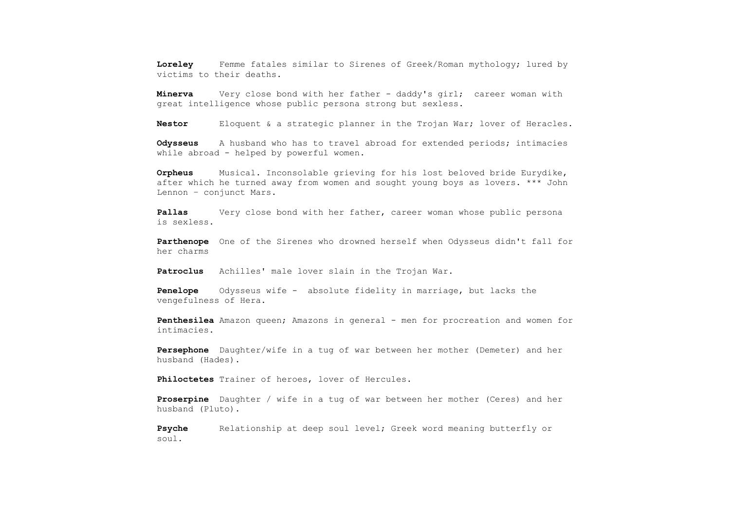**Loreley** Femme fatales similar to Sirenes of Greek/Roman mythology; lured by victims to their deaths.

**Minerva** Very close bond with her father - daddy's girl; career woman with great intelligence whose public persona strong but sexless.

**Nestor** Eloquent & a strategic planner in the Trojan War; lover of Heracles.

**Odysseus** A husband who has to travel abroad for extended periods; intimacies while abroad - helped by powerful women.

**Orpheus** Musical. Inconsolable grieving for his lost beloved bride Eurydike, after which he turned away from women and sought young boys as lovers. \*\*\* John Lennon – conjunct Mars.

**Pallas** Very close bond with her father, career woman whose public persona is sexless.

**Parthenope** One of the Sirenes who drowned herself when Odysseus didn't fall for her charms

**Patroclus** Achilles' male lover slain in the Trojan War.

**Penelope** Odysseus wife - absolute fidelity in marriage, but lacks the vengefulness of Hera.

**Penthesilea** Amazon queen; Amazons in general - men for procreation and women for intimacies.

**Persephone** Daughter/wife in a tug of war between her mother (Demeter) and her husband (Hades).

**Philoctetes** Trainer of heroes, lover of Hercules.

**Proserpine** Daughter / wife in a tug of war between her mother (Ceres) and her husband (Pluto).

**Psyche** Relationship at deep soul level; Greek word meaning butterfly or soul.